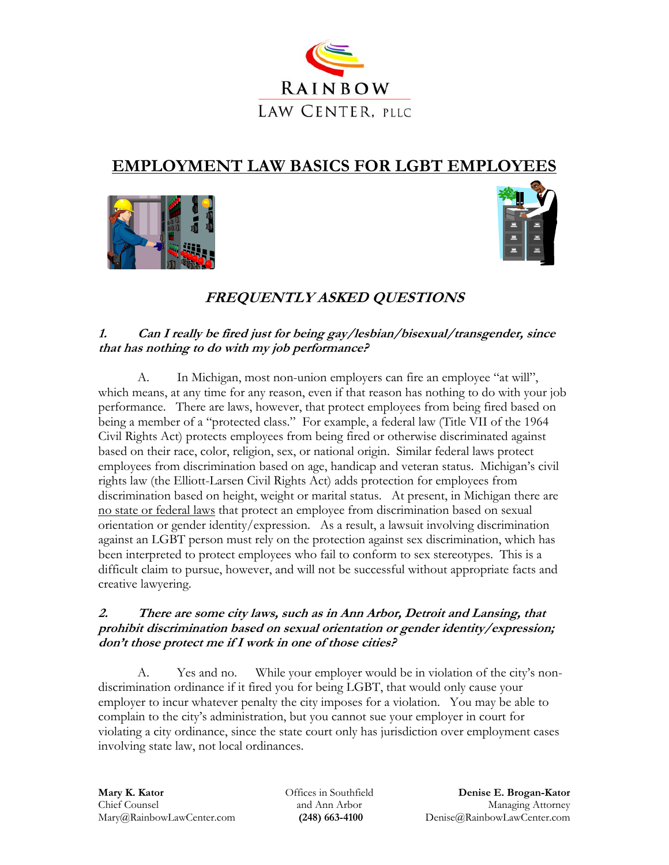

# **EMPLOYMENT LAW BASICS FOR LGBT EMPLOYEES**





# **FREQUENTLY ASKED QUESTIONS**

## **1. Can I really be fired just for being gay/lesbian/bisexual/transgender, since that has nothing to do with my job performance?**

A. In Michigan, most non-union employers can fire an employee "at will", which means, at any time for any reason, even if that reason has nothing to do with your job performance. There are laws, however, that protect employees from being fired based on being a member of a "protected class." For example, a federal law (Title VII of the 1964 Civil Rights Act) protects employees from being fired or otherwise discriminated against based on their race, color, religion, sex, or national origin. Similar federal laws protect employees from discrimination based on age, handicap and veteran status. Michigan's civil rights law (the Elliott-Larsen Civil Rights Act) adds protection for employees from discrimination based on height, weight or marital status. At present, in Michigan there are no state or federal laws that protect an employee from discrimination based on sexual orientation or gender identity/expression. As a result, a lawsuit involving discrimination against an LGBT person must rely on the protection against sex discrimination, which has been interpreted to protect employees who fail to conform to sex stereotypes. This is a difficult claim to pursue, however, and will not be successful without appropriate facts and creative lawyering.

#### **2. There are some city laws, such as in Ann Arbor, Detroit and Lansing, that prohibit discrimination based on sexual orientation or gender identity/expression; don't those protect me if I work in one of those cities?**

 A. Yes and no. While your employer would be in violation of the city's nondiscrimination ordinance if it fired you for being LGBT, that would only cause your employer to incur whatever penalty the city imposes for a violation. You may be able to complain to the city's administration, but you cannot sue your employer in court for violating a city ordinance, since the state court only has jurisdiction over employment cases involving state law, not local ordinances.

Offices in Southfield and Ann Arbor  **(248) 663-4100**